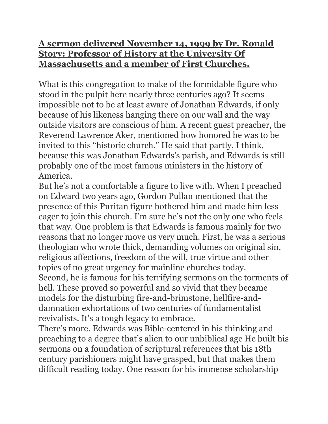## **A sermon delivered November 14, 1999 by Dr. Ronald Story: Professor of History at the University Of Massachusetts and a member of First Churches.**

What is this congregation to make of the formidable figure who stood in the pulpit here nearly three centuries ago? It seems impossible not to be at least aware of Jonathan Edwards, if only because of his likeness hanging there on our wall and the way outside visitors are conscious of him. A recent guest preacher, the Reverend Lawrence Aker, mentioned how honored he was to be invited to this "historic church." He said that partly, I think, because this was Jonathan Edwards's parish, and Edwards is still probably one of the most famous ministers in the history of America.

But he's not a comfortable a figure to live with. When I preached on Edward two years ago, Gordon Pullan mentioned that the presence of this Puritan figure bothered him and made him less eager to join this church. I'm sure he's not the only one who feels that way. One problem is that Edwards is famous mainly for two reasons that no longer move us very much. First, he was a serious theologian who wrote thick, demanding volumes on original sin, religious affections, freedom of the will, true virtue and other topics of no great urgency for mainline churches today. Second, he is famous for his terrifying sermons on the torments of hell. These proved so powerful and so vivid that they became models for the disturbing fire-and-brimstone, hellfire-anddamnation exhortations of two centuries of fundamentalist revivalists. It's a tough legacy to embrace.

There's more. Edwards was Bible-centered in his thinking and preaching to a degree that's alien to our unbiblical age He built his sermons on a foundation of scriptural references that his 18th century parishioners might have grasped, but that makes them difficult reading today. One reason for his immense scholarship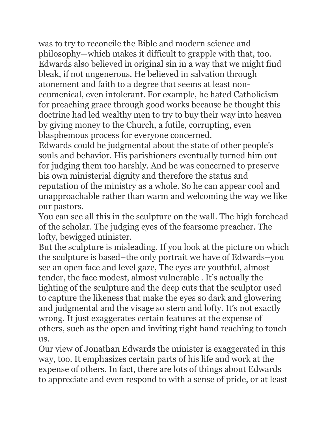was to try to reconcile the Bible and modern science and philosophy—which makes it difficult to grapple with that, too. Edwards also believed in original sin in a way that we might find bleak, if not ungenerous. He believed in salvation through atonement and faith to a degree that seems at least nonecumenical, even intolerant. For example, he hated Catholicism for preaching grace through good works because he thought this doctrine had led wealthy men to try to buy their way into heaven by giving money to the Church, a futile, corrupting, even blasphemous process for everyone concerned.

Edwards could be judgmental about the state of other people's souls and behavior. His parishioners eventually turned him out for judging them too harshly. And he was concerned to preserve his own ministerial dignity and therefore the status and reputation of the ministry as a whole. So he can appear cool and unapproachable rather than warm and welcoming the way we like our pastors.

You can see all this in the sculpture on the wall. The high forehead of the scholar. The judging eyes of the fearsome preacher. The lofty, bewigged minister.

But the sculpture is misleading. If you look at the picture on which the sculpture is based–the only portrait we have of Edwards–you see an open face and level gaze, The eyes are youthful, almost tender, the face modest, almost vulnerable . It's actually the lighting of the sculpture and the deep cuts that the sculptor used to capture the likeness that make the eyes so dark and glowering and judgmental and the visage so stern and lofty. It's not exactly wrong. It just exaggerates certain features at the expense of others, such as the open and inviting right hand reaching to touch us.

Our view of Jonathan Edwards the minister is exaggerated in this way, too. It emphasizes certain parts of his life and work at the expense of others. In fact, there are lots of things about Edwards to appreciate and even respond to with a sense of pride, or at least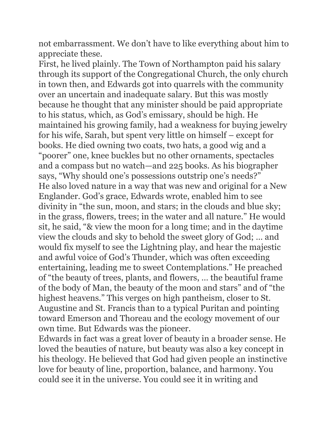not embarrassment. We don't have to like everything about him to appreciate these.

First, he lived plainly. The Town of Northampton paid his salary through its support of the Congregational Church, the only church in town then, and Edwards got into quarrels with the community over an uncertain and inadequate salary. But this was mostly because he thought that any minister should be paid appropriate to his status, which, as God's emissary, should be high. He maintained his growing family, had a weakness for buying jewelry for his wife, Sarah, but spent very little on himself – except for books. He died owning two coats, two hats, a good wig and a "poorer" one, knee buckles but no other ornaments, spectacles and a compass but no watch—and 225 books. As his biographer says, "Why should one's possessions outstrip one's needs?" He also loved nature in a way that was new and original for a New Englander. God's grace, Edwards wrote, enabled him to see divinity in "the sun, moon, and stars; in the clouds and blue sky; in the grass, flowers, trees; in the water and all nature." He would sit, he said, "& view the moon for a long time; and in the daytime view the clouds and sky to behold the sweet glory of God; … and would fix myself to see the Lightning play, and hear the majestic and awful voice of God's Thunder, which was often exceeding entertaining, leading me to sweet Contemplations." He preached of "the beauty of trees, plants, and flowers, … the beautiful frame of the body of Man, the beauty of the moon and stars" and of "the highest heavens." This verges on high pantheism, closer to St. Augustine and St. Francis than to a typical Puritan and pointing toward Emerson and Thoreau and the ecology movement of our own time. But Edwards was the pioneer.

Edwards in fact was a great lover of beauty in a broader sense. He loved the beauties of nature, but beauty was also a key concept in his theology. He believed that God had given people an instinctive love for beauty of line, proportion, balance, and harmony. You could see it in the universe. You could see it in writing and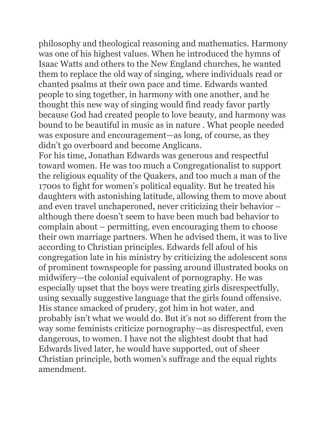philosophy and theological reasoning and mathematics. Harmony was one of his highest values. When he introduced the hymns of Isaac Watts and others to the New England churches, he wanted them to replace the old way of singing, where individuals read or chanted psalms at their own pace and time. Edwards wanted people to sing together, in harmony with one another, and he thought this new way of singing would find ready favor partly because God had created people to love beauty, and harmony was bound to be beautiful in music as in nature . What people needed was exposure and encouragement—as long, of course, as they didn't go overboard and become Anglicans.

For his time, Jonathan Edwards was generous and respectful toward women. He was too much a Congregationalist to support the religious equality of the Quakers, and too much a man of the 1700s to fight for women's political equality. But he treated his daughters with astonishing latitude, allowing them to move about and even travel unchaperoned, never criticizing their behavior – although there doesn't seem to have been much bad behavior to complain about – permitting, even encouraging them to choose their own marriage partners. When he advised them, it was to live according to Christian principles. Edwards fell afoul of his congregation late in his ministry by criticizing the adolescent sons of prominent townspeople for passing around illustrated books on midwifery—the colonial equivalent of pornography. He was especially upset that the boys were treating girls disrespectfully, using sexually suggestive language that the girls found offensive. His stance smacked of prudery, got him in hot water, and probably isn't what we would do. But it's not so different from the way some feminists criticize pornography—as disrespectful, even dangerous, to women. I have not the slightest doubt that had Edwards lived later, he would have supported, out of sheer Christian principle, both women's suffrage and the equal rights amendment.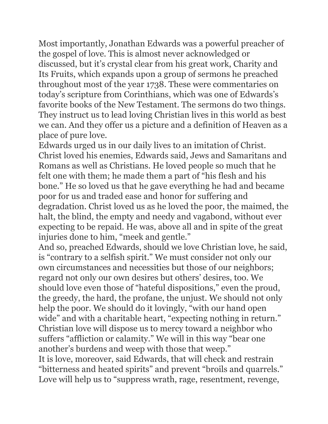Most importantly, Jonathan Edwards was a powerful preacher of the gospel of love. This is almost never acknowledged or discussed, but it's crystal clear from his great work, Charity and Its Fruits, which expands upon a group of sermons he preached throughout most of the year 1738. These were commentaries on today's scripture from Corinthians, which was one of Edwards's favorite books of the New Testament. The sermons do two things. They instruct us to lead loving Christian lives in this world as best we can. And they offer us a picture and a definition of Heaven as a place of pure love.

Edwards urged us in our daily lives to an imitation of Christ. Christ loved his enemies, Edwards said, Jews and Samaritans and Romans as well as Christians. He loved people so much that he felt one with them; he made them a part of "his flesh and his bone." He so loved us that he gave everything he had and became poor for us and traded ease and honor for suffering and degradation. Christ loved us as he loved the poor, the maimed, the halt, the blind, the empty and needy and vagabond, without ever expecting to be repaid. He was, above all and in spite of the great injuries done to him, "meek and gentle."

And so, preached Edwards, should we love Christian love, he said, is "contrary to a selfish spirit." We must consider not only our own circumstances and necessities but those of our neighbors; regard not only our own desires but others' desires, too. We should love even those of "hateful dispositions," even the proud, the greedy, the hard, the profane, the unjust. We should not only help the poor. We should do it lovingly, "with our hand open wide" and with a charitable heart, "expecting nothing in return." Christian love will dispose us to mercy toward a neighbor who suffers "affliction or calamity." We will in this way "bear one another's burdens and weep with those that weep." It is love, moreover, said Edwards, that will check and restrain "bitterness and heated spirits" and prevent "broils and quarrels." Love will help us to "suppress wrath, rage, resentment, revenge,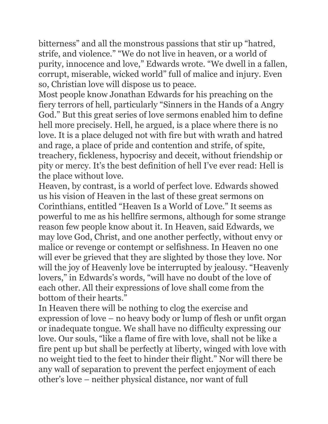bitterness" and all the monstrous passions that stir up "hatred, strife, and violence." "We do not live in heaven, or a world of purity, innocence and love," Edwards wrote. "We dwell in a fallen, corrupt, miserable, wicked world" full of malice and injury. Even so, Christian love will dispose us to peace.

Most people know Jonathan Edwards for his preaching on the fiery terrors of hell, particularly "Sinners in the Hands of a Angry God." But this great series of love sermons enabled him to define hell more precisely. Hell, he argued, is a place where there is no love. It is a place deluged not with fire but with wrath and hatred and rage, a place of pride and contention and strife, of spite, treachery, fickleness, hypocrisy and deceit, without friendship or pity or mercy. It's the best definition of hell I've ever read: Hell is the place without love.

Heaven, by contrast, is a world of perfect love. Edwards showed us his vision of Heaven in the last of these great sermons on Corinthians, entitled "Heaven Is a World of Love." It seems as powerful to me as his hellfire sermons, although for some strange reason few people know about it. In Heaven, said Edwards, we may love God, Christ, and one another perfectly, without envy or malice or revenge or contempt or selfishness. In Heaven no one will ever be grieved that they are slighted by those they love. Nor will the joy of Heavenly love be interrupted by jealousy. "Heavenly lovers," in Edwards's words, "will have no doubt of the love of each other. All their expressions of love shall come from the bottom of their hearts."

In Heaven there will be nothing to clog the exercise and expression of love – no heavy body or lump of flesh or unfit organ or inadequate tongue. We shall have no difficulty expressing our love. Our souls, "like a flame of fire with love, shall not be like a fire pent up but shall be perfectly at liberty, winged with love with no weight tied to the feet to hinder their flight." Nor will there be any wall of separation to prevent the perfect enjoyment of each other's love – neither physical distance, nor want of full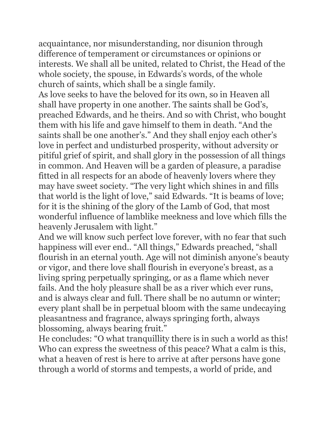acquaintance, nor misunderstanding, nor disunion through difference of temperament or circumstances or opinions or interests. We shall all be united, related to Christ, the Head of the whole society, the spouse, in Edwards's words, of the whole church of saints, which shall be a single family.

As love seeks to have the beloved for its own, so in Heaven all shall have property in one another. The saints shall be God's, preached Edwards, and he theirs. And so with Christ, who bought them with his life and gave himself to them in death. "And the saints shall be one another's." And they shall enjoy each other's love in perfect and undisturbed prosperity, without adversity or pitiful grief of spirit, and shall glory in the possession of all things in common. And Heaven will be a garden of pleasure, a paradise fitted in all respects for an abode of heavenly lovers where they may have sweet society. "The very light which shines in and fills that world is the light of love," said Edwards. "It is beams of love; for it is the shining of the glory of the Lamb of God, that most wonderful influence of lamblike meekness and love which fills the heavenly Jerusalem with light."

And we will know such perfect love forever, with no fear that such happiness will ever end.. "All things," Edwards preached, "shall flourish in an eternal youth. Age will not diminish anyone's beauty or vigor, and there love shall flourish in everyone's breast, as a living spring perpetually springing, or as a flame which never fails. And the holy pleasure shall be as a river which ever runs, and is always clear and full. There shall be no autumn or winter; every plant shall be in perpetual bloom with the same undecaying pleasantness and fragrance, always springing forth, always blossoming, always bearing fruit."

He concludes: "O what tranquillity there is in such a world as this! Who can express the sweetness of this peace? What a calm is this, what a heaven of rest is here to arrive at after persons have gone through a world of storms and tempests, a world of pride, and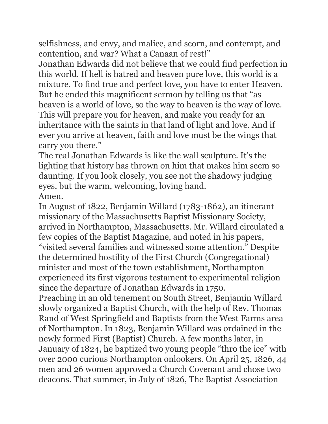selfishness, and envy, and malice, and scorn, and contempt, and contention, and war? What a Canaan of rest!"

Jonathan Edwards did not believe that we could find perfection in this world. If hell is hatred and heaven pure love, this world is a mixture. To find true and perfect love, you have to enter Heaven. But he ended this magnificent sermon by telling us that "as heaven is a world of love, so the way to heaven is the way of love. This will prepare you for heaven, and make you ready for an inheritance with the saints in that land of light and love. And if ever you arrive at heaven, faith and love must be the wings that carry you there."

The real Jonathan Edwards is like the wall sculpture. It's the lighting that history has thrown on him that makes him seem so daunting. If you look closely, you see not the shadowy judging eyes, but the warm, welcoming, loving hand. Amen.

In August of 1822, Benjamin Willard (1783-1862), an itinerant missionary of the Massachusetts Baptist Missionary Society, arrived in Northampton, Massachusetts. Mr. Willard circulated a few copies of the Baptist Magazine, and noted in his papers, "visited several families and witnessed some attention." Despite the determined hostility of the First Church (Congregational) minister and most of the town establishment, Northampton experienced its first vigorous testament to experimental religion since the departure of Jonathan Edwards in 1750.

Preaching in an old tenement on South Street, Benjamin Willard slowly organized a Baptist Church, with the help of Rev. Thomas Rand of West Springfield and Baptists from the West Farms area of Northampton. In 1823, Benjamin Willard was ordained in the newly formed First (Baptist) Church. A few months later, in January of 1824, he baptized two young people "thro the ice" with over 2000 curious Northampton onlookers. On April 25, 1826, 44 men and 26 women approved a Church Covenant and chose two deacons. That summer, in July of 1826, The Baptist Association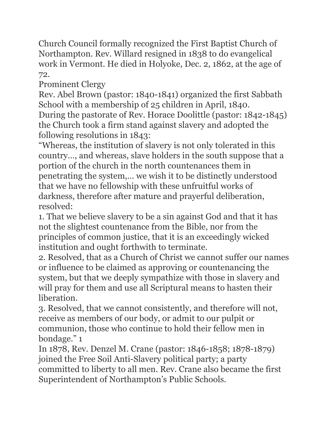Church Council formally recognized the First Baptist Church of Northampton. Rev. Willard resigned in 1838 to do evangelical work in Vermont. He died in Holyoke, Dec. 2, 1862, at the age of 72.

Prominent Clergy

Rev. Abel Brown (pastor: 1840-1841) organized the first Sabbath School with a membership of 25 children in April, 1840. During the pastorate of Rev. Horace Doolittle (pastor: 1842-1845) the Church took a firm stand against slavery and adopted the following resolutions in 1843:

"Whereas, the institution of slavery is not only tolerated in this country…, and whereas, slave holders in the south suppose that a portion of the church in the north countenances them in penetrating the system,… we wish it to be distinctly understood that we have no fellowship with these unfruitful works of darkness, therefore after mature and prayerful deliberation, resolved:

1. That we believe slavery to be a sin against God and that it has not the slightest countenance from the Bible, nor from the principles of common justice, that it is an exceedingly wicked institution and ought forthwith to terminate.

2. Resolved, that as a Church of Christ we cannot suffer our names or influence to be claimed as approving or countenancing the system, but that we deeply sympathize with those in slavery and will pray for them and use all Scriptural means to hasten their liberation.

3. Resolved, that we cannot consistently, and therefore will not, receive as members of our body, or admit to our pulpit or communion, those who continue to hold their fellow men in bondage." 1

In 1878, Rev. Denzel M. Crane (pastor: 1846-1858; 1878-1879) joined the Free Soil Anti-Slavery political party; a party committed to liberty to all men. Rev. Crane also became the first Superintendent of Northampton's Public Schools.